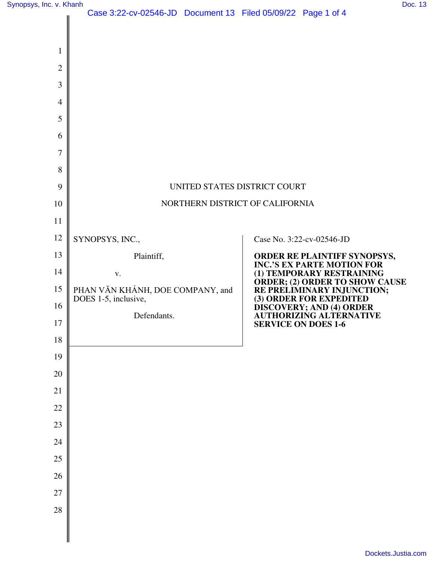|                | $3.22$ CV 02040 3D DOCUMENT 10 T from 03/03/22 T age 1 of 4 |                                                                                           |
|----------------|-------------------------------------------------------------|-------------------------------------------------------------------------------------------|
|                |                                                             |                                                                                           |
| $\mathbf{1}$   |                                                             |                                                                                           |
| $\overline{2}$ |                                                             |                                                                                           |
| 3              |                                                             |                                                                                           |
| $\overline{4}$ |                                                             |                                                                                           |
| 5              |                                                             |                                                                                           |
| 6              |                                                             |                                                                                           |
| 7              |                                                             |                                                                                           |
| 8              |                                                             |                                                                                           |
| 9              | UNITED STATES DISTRICT COURT                                |                                                                                           |
| 10             | NORTHERN DISTRICT OF CALIFORNIA                             |                                                                                           |
| 11             |                                                             |                                                                                           |
| 12             | SYNOPSYS, INC.,                                             | Case No. 3:22-cv-02546-JD                                                                 |
| 13             | Plaintiff,                                                  | ORDER RE PLAINTIFF SYNOPSYS,<br>INC.'S EX PARTE MOTION FOR                                |
| 14             | V.                                                          | (1) TEMPORARY RESTRAINING                                                                 |
| 15<br>16       | PHAN VĂN KHÁNH, DOE COMPANY, and<br>DOES 1-5, inclusive,    | ORDER; (2) ORDER TO SHOW CAUSE<br>RE PRELIMINARY INJUNCTION;<br>(3) ORDER FOR EXPEDITED   |
| 17             | Defendants.                                                 | <b>DISCOVERY; AND (4) ORDER<br/>AUTHORIZING ALTERNATIVE</b><br><b>SERVICE ON DOES 1-6</b> |
| 18             |                                                             |                                                                                           |
| 19             |                                                             |                                                                                           |
| 20             |                                                             |                                                                                           |
| 21             |                                                             |                                                                                           |
| 22             |                                                             |                                                                                           |
| 23             |                                                             |                                                                                           |
| 24             |                                                             |                                                                                           |
| 25             |                                                             |                                                                                           |
| 26             |                                                             |                                                                                           |
| 27             |                                                             |                                                                                           |
| 28             |                                                             |                                                                                           |
|                |                                                             |                                                                                           |
|                |                                                             |                                                                                           |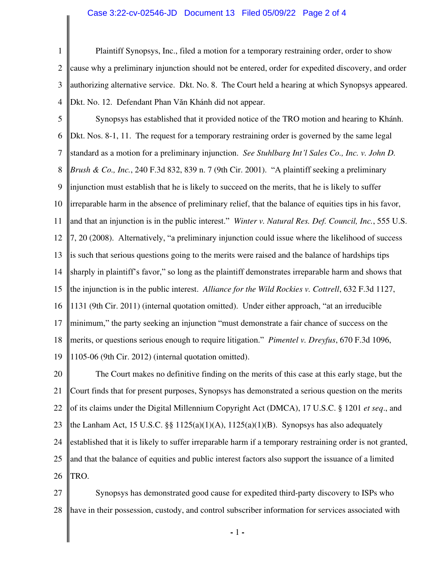## Case 3:22-cv-02546-JD Document 13 Filed 05/09/22 Page 2 of 4

1 2 3 4 Plaintiff Synopsys, Inc., filed a motion for a temporary restraining order, order to show cause why a preliminary injunction should not be entered, order for expedited discovery, and order authorizing alternative service. Dkt. No. 8. The Court held a hearing at which Synopsys appeared. Dkt. No. 12. Defendant Phan Văn Khánh did not appear.

5 6 7 8 9 10 11 12 13 14 15 16 17 18 19 Synopsys has established that it provided notice of the TRO motion and hearing to Khánh. Dkt. Nos. 8-1, 11. The request for a temporary restraining order is governed by the same legal standard as a motion for a preliminary injunction. *See Stuhlbarg Int'l Sales Co., Inc. v. John D. Brush & Co., Inc.*, 240 F.3d 832, 839 n. 7 (9th Cir. 2001). "A plaintiff seeking a preliminary injunction must establish that he is likely to succeed on the merits, that he is likely to suffer irreparable harm in the absence of preliminary relief, that the balance of equities tips in his favor, and that an injunction is in the public interest." *Winter v. Natural Res. Def. Council, Inc.*, 555 U.S. 7, 20 (2008). Alternatively, "a preliminary injunction could issue where the likelihood of success is such that serious questions going to the merits were raised and the balance of hardships tips sharply in plaintiff's favor," so long as the plaintiff demonstrates irreparable harm and shows that the injunction is in the public interest. *Alliance for the Wild Rockies v. Cottrell*, 632 F.3d 1127, 1131 (9th Cir. 2011) (internal quotation omitted). Under either approach, "at an irreducible minimum," the party seeking an injunction "must demonstrate a fair chance of success on the merits, or questions serious enough to require litigation." *Pimentel v. Dreyfus*, 670 F.3d 1096, 1105-06 (9th Cir. 2012) (internal quotation omitted).

20 21 22 23 24 25 26 The Court makes no definitive finding on the merits of this case at this early stage, but the Court finds that for present purposes, Synopsys has demonstrated a serious question on the merits of its claims under the Digital Millennium Copyright Act (DMCA), 17 U.S.C. § 1201 *et seq*., and the Lanham Act, 15 U.S.C. §§  $1125(a)(1)(A)$ ,  $1125(a)(1)(B)$ . Synopsys has also adequately established that it is likely to suffer irreparable harm if a temporary restraining order is not granted, and that the balance of equities and public interest factors also support the issuance of a limited TRO.

27 28 Synopsys has demonstrated good cause for expedited third-party discovery to ISPs who have in their possession, custody, and control subscriber information for services associated with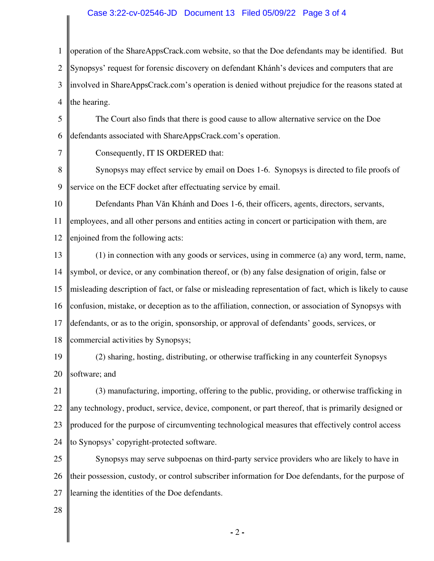## Case 3:22-cv-02546-JD Document 13 Filed 05/09/22 Page 3 of 4

1 2 3 4 operation of the ShareAppsCrack.com website, so that the Doe defendants may be identified. But Synopsys' request for forensic discovery on defendant Khánh's devices and computers that are involved in ShareAppsCrack.com's operation is denied without prejudice for the reasons stated at the hearing.

5 6 The Court also finds that there is good cause to allow alternative service on the Doe defendants associated with ShareAppsCrack.com's operation.

7

Consequently, IT IS ORDERED that:

8 9 Synopsys may effect service by email on Does 1-6. Synopsys is directed to file proofs of service on the ECF docket after effectuating service by email.

10 11 12 Defendants Phan Văn Khánh and Does 1-6, their officers, agents, directors, servants, employees, and all other persons and entities acting in concert or participation with them, are enjoined from the following acts:

13 14 15 16 17 18 (1) in connection with any goods or services, using in commerce (a) any word, term, name, symbol, or device, or any combination thereof, or (b) any false designation of origin, false or misleading description of fact, or false or misleading representation of fact, which is likely to cause confusion, mistake, or deception as to the affiliation, connection, or association of Synopsys with defendants, or as to the origin, sponsorship, or approval of defendants' goods, services, or commercial activities by Synopsys;

19 20 (2) sharing, hosting, distributing, or otherwise trafficking in any counterfeit Synopsys software; and

21 22 23 24 (3) manufacturing, importing, offering to the public, providing, or otherwise trafficking in any technology, product, service, device, component, or part thereof, that is primarily designed or produced for the purpose of circumventing technological measures that effectively control access to Synopsys' copyright-protected software.

25 26 27 Synopsys may serve subpoenas on third-party service providers who are likely to have in their possession, custody, or control subscriber information for Doe defendants, for the purpose of learning the identities of the Doe defendants.

28